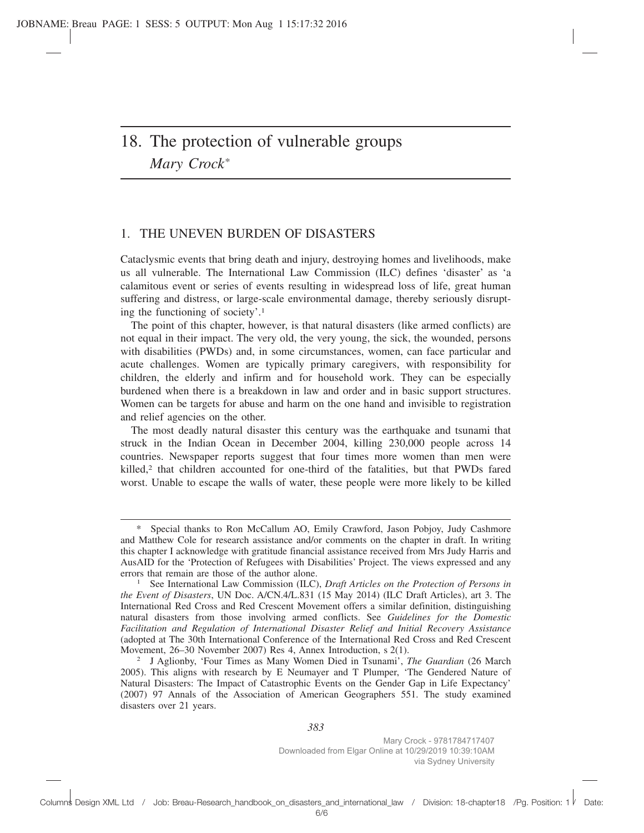# 18. The protection of vulnerable groups *Mary Crock\**

## 1. THE UNEVEN BURDEN OF DISASTERS

Cataclysmic events that bring death and injury, destroying homes and livelihoods, make us all vulnerable. The International Law Commission (ILC) defines 'disaster' as 'a calamitous event or series of events resulting in widespread loss of life, great human suffering and distress, or large-scale environmental damage, thereby seriously disrupting the functioning of society'.1

The point of this chapter, however, is that natural disasters (like armed conflicts) are not equal in their impact. The very old, the very young, the sick, the wounded, persons with disabilities (PWDs) and, in some circumstances, women, can face particular and acute challenges. Women are typically primary caregivers, with responsibility for children, the elderly and infirm and for household work. They can be especially burdened when there is a breakdown in law and order and in basic support structures. Women can be targets for abuse and harm on the one hand and invisible to registration and relief agencies on the other.

The most deadly natural disaster this century was the earthquake and tsunami that struck in the Indian Ocean in December 2004, killing 230,000 people across 14 countries. Newspaper reports suggest that four times more women than men were killed,<sup>2</sup> that children accounted for one-third of the fatalities, but that PWDs fared worst. Unable to escape the walls of water, these people were more likely to be killed

Special thanks to Ron McCallum AO, Emily Crawford, Jason Pobjoy, Judy Cashmore and Matthew Cole for research assistance and/or comments on the chapter in draft. In writing this chapter I acknowledge with gratitude financial assistance received from Mrs Judy Harris and AusAID for the 'Protection of Refugees with Disabilities' Project. The views expressed and any errors that remain are those of the author alone.

<sup>1</sup> See International Law Commission (ILC), *Draft Articles on the Protection of Persons in the Event of Disasters*, UN Doc. A/CN.4/L.831 (15 May 2014) (ILC Draft Articles), art 3. The International Red Cross and Red Crescent Movement offers a similar definition, distinguishing natural disasters from those involving armed conflicts. See *Guidelines for the Domestic Facilitation and Regulation of International Disaster Relief and Initial Recovery Assistance* (adopted at The 30th International Conference of the International Red Cross and Red Crescent Movement, 26–30 November 2007) Res 4, Annex Introduction, s 2(1).

<sup>2</sup> J Aglionby, 'Four Times as Many Women Died in Tsunami', *The Guardian* (26 March 2005). This aligns with research by E Neumayer and T Plumper, 'The Gendered Nature of Natural Disasters: The Impact of Catastrophic Events on the Gender Gap in Life Expectancy' (2007) 97 Annals of the Association of American Geographers 551. The study examined disasters over 21 years.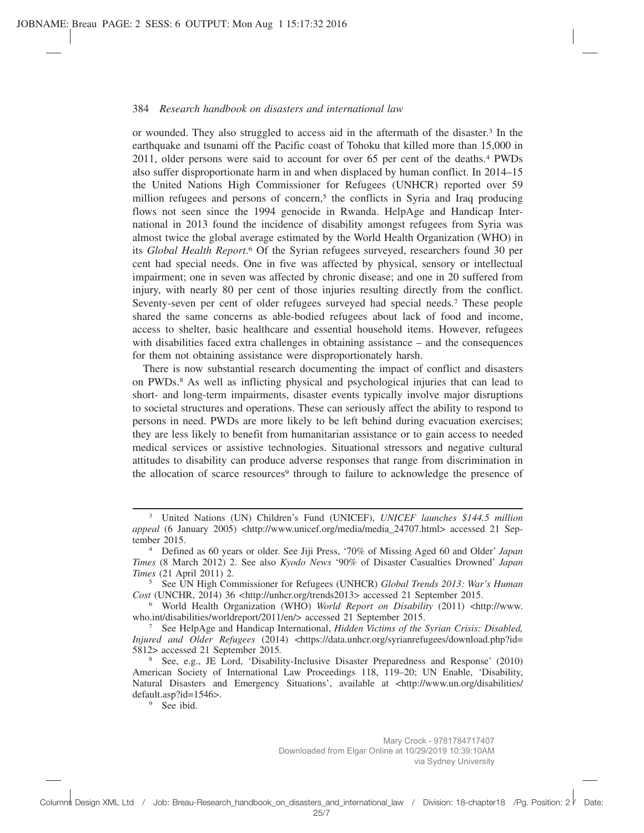or wounded. They also struggled to access aid in the aftermath of the disaster.3 In the earthquake and tsunami off the Pacific coast of Tohoku that killed more than 15,000 in 2011, older persons were said to account for over 65 per cent of the deaths.4 PWDs also suffer disproportionate harm in and when displaced by human conflict. In 2014–15 the United Nations High Commissioner for Refugees (UNHCR) reported over 59 million refugees and persons of concern,<sup>5</sup> the conflicts in Syria and Iraq producing flows not seen since the 1994 genocide in Rwanda. HelpAge and Handicap International in 2013 found the incidence of disability amongst refugees from Syria was almost twice the global average estimated by the World Health Organization (WHO) in its *Global Health Report*. <sup>6</sup> Of the Syrian refugees surveyed, researchers found 30 per cent had special needs. One in five was affected by physical, sensory or intellectual impairment; one in seven was affected by chronic disease; and one in 20 suffered from injury, with nearly 80 per cent of those injuries resulting directly from the conflict. Seventy-seven per cent of older refugees surveyed had special needs.7 These people shared the same concerns as able-bodied refugees about lack of food and income, access to shelter, basic healthcare and essential household items. However, refugees with disabilities faced extra challenges in obtaining assistance – and the consequences for them not obtaining assistance were disproportionately harsh.

There is now substantial research documenting the impact of conflict and disasters on PWDs.8 As well as inflicting physical and psychological injuries that can lead to short- and long-term impairments, disaster events typically involve major disruptions to societal structures and operations. These can seriously affect the ability to respond to persons in need. PWDs are more likely to be left behind during evacuation exercises; they are less likely to benefit from humanitarian assistance or to gain access to needed medical services or assistive technologies. Situational stressors and negative cultural attitudes to disability can produce adverse responses that range from discrimination in the allocation of scarce resources<sup>9</sup> through to failure to acknowledge the presence of

<sup>9</sup> See ibid.

<sup>3</sup> United Nations (UN) Children's Fund (UNICEF), *UNICEF launches \$144.5 million appeal* (6 January 2005) <http://www.unicef.org/media/media\_24707.html> accessed 21 September 2015.

<sup>4</sup> Defined as 60 years or older. See Jiji Press, '70% of Missing Aged 60 and Older' *Japan Times* (8 March 2012) 2. See also *Kyodo News* '90% of Disaster Casualties Drowned' *Japan Times* (21 April 2011) 2.

<sup>5</sup> See UN High Commissioner for Refugees (UNHCR) *Global Trends 2013: War's Human Cost* (UNCHR, 2014) 36 *<*http://unhcr.org/trends2013> accessed 21 September 2015.

<sup>&</sup>lt;sup>6</sup> World Health Organization (WHO) *World Report on Disability* (2011) <http://www. who.int/disabilities/worldreport/2011/en/> accessed 21 September 2015.

<sup>7</sup> See HelpAge and Handicap International, *Hidden Victims of the Syrian Crisis: Disabled, Injured and Older Refugees* (2014) <https://data.unhcr.org/syrianrefugees/download.php?id= 5812> accessed 21 September 2015*.*

<sup>8</sup> See, e.g., JE Lord, 'Disability-Inclusive Disaster Preparedness and Response' (2010) American Society of International Law Proceedings 118, 119–20; UN Enable, 'Disability, Natural Disasters and Emergency Situations', available at <http://www.un.org/disabilities/ default.asp?id=1546>.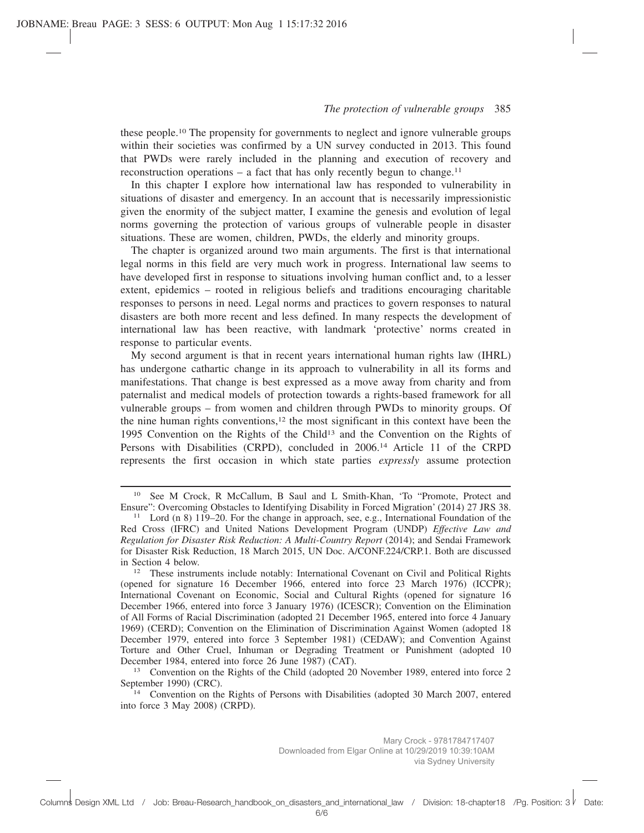these people.10 The propensity for governments to neglect and ignore vulnerable groups within their societies was confirmed by a UN survey conducted in 2013. This found that PWDs were rarely included in the planning and execution of recovery and reconstruction operations  $-$  a fact that has only recently begun to change.<sup>11</sup>

In this chapter I explore how international law has responded to vulnerability in situations of disaster and emergency. In an account that is necessarily impressionistic given the enormity of the subject matter, I examine the genesis and evolution of legal norms governing the protection of various groups of vulnerable people in disaster situations. These are women, children, PWDs, the elderly and minority groups.

The chapter is organized around two main arguments. The first is that international legal norms in this field are very much work in progress. International law seems to have developed first in response to situations involving human conflict and, to a lesser extent, epidemics – rooted in religious beliefs and traditions encouraging charitable responses to persons in need. Legal norms and practices to govern responses to natural disasters are both more recent and less defined. In many respects the development of international law has been reactive, with landmark 'protective' norms created in response to particular events.

My second argument is that in recent years international human rights law (IHRL) has undergone cathartic change in its approach to vulnerability in all its forms and manifestations. That change is best expressed as a move away from charity and from paternalist and medical models of protection towards a rights-based framework for all vulnerable groups – from women and children through PWDs to minority groups. Of the nine human rights conventions,<sup>12</sup> the most significant in this context have been the 1995 Convention on the Rights of the Child13 and the Convention on the Rights of Persons with Disabilities (CRPD), concluded in 2006.14 Article 11 of the CRPD represents the first occasion in which state parties *expressly* assume protection

See M Crock, R McCallum, B Saul and L Smith-Khan, 'To "Promote, Protect and Ensure": Overcoming Obstacles to Identifying Disability in Forced Migration' (2014) 27 JRS 38.

<sup>11</sup> Lord (n 8) 119–20. For the change in approach, see, e.g., International Foundation of the Red Cross (IFRC) and United Nations Development Program (UNDP) *Effective Law and Regulation for Disaster Risk Reduction: A Multi-Country Report* (2014); and Sendai Framework for Disaster Risk Reduction, 18 March 2015, UN Doc. A/CONF.224/CRP.1. Both are discussed in Section 4 below.

<sup>12</sup> These instruments include notably: International Covenant on Civil and Political Rights (opened for signature 16 December 1966, entered into force 23 March 1976) (ICCPR); International Covenant on Economic, Social and Cultural Rights (opened for signature 16 December 1966, entered into force 3 January 1976) (ICESCR); Convention on the Elimination of All Forms of Racial Discrimination (adopted 21 December 1965, entered into force 4 January 1969) (CERD); Convention on the Elimination of Discrimination Against Women (adopted 18 December 1979, entered into force 3 September 1981) (CEDAW); and Convention Against Torture and Other Cruel, Inhuman or Degrading Treatment or Punishment (adopted 10 December 1984, entered into force 26 June 1987) (CAT).

<sup>&</sup>lt;sup>13</sup> Convention on the Rights of the Child (adopted 20 November 1989, entered into force 2 September 1990) (CRC).

<sup>&</sup>lt;sup>14</sup> Convention on the Rights of Persons with Disabilities (adopted 30 March 2007, entered into force 3 May 2008) (CRPD).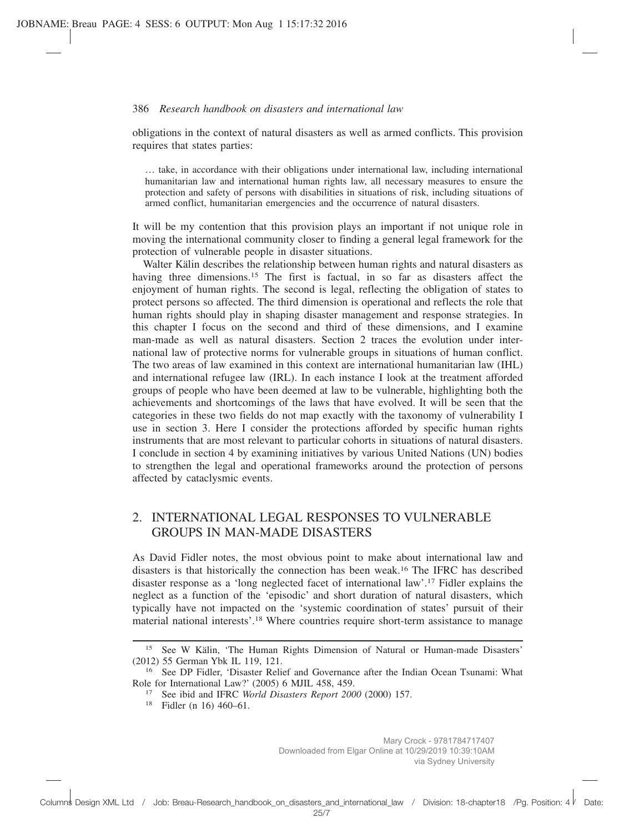obligations in the context of natural disasters as well as armed conflicts. This provision requires that states parties:

… take, in accordance with their obligations under international law, including international humanitarian law and international human rights law, all necessary measures to ensure the protection and safety of persons with disabilities in situations of risk, including situations of armed conflict, humanitarian emergencies and the occurrence of natural disasters.

It will be my contention that this provision plays an important if not unique role in moving the international community closer to finding a general legal framework for the protection of vulnerable people in disaster situations.

Walter Kälin describes the relationship between human rights and natural disasters as having three dimensions.<sup>15</sup> The first is factual, in so far as disasters affect the enjoyment of human rights. The second is legal, reflecting the obligation of states to protect persons so affected. The third dimension is operational and reflects the role that human rights should play in shaping disaster management and response strategies. In this chapter I focus on the second and third of these dimensions, and I examine man-made as well as natural disasters. Section 2 traces the evolution under international law of protective norms for vulnerable groups in situations of human conflict. The two areas of law examined in this context are international humanitarian law (IHL) and international refugee law (IRL). In each instance I look at the treatment afforded groups of people who have been deemed at law to be vulnerable, highlighting both the achievements and shortcomings of the laws that have evolved. It will be seen that the categories in these two fields do not map exactly with the taxonomy of vulnerability I use in section 3. Here I consider the protections afforded by specific human rights instruments that are most relevant to particular cohorts in situations of natural disasters. I conclude in section 4 by examining initiatives by various United Nations (UN) bodies to strengthen the legal and operational frameworks around the protection of persons affected by cataclysmic events.

## 2. INTERNATIONAL LEGAL RESPONSES TO VULNERABLE GROUPS IN MAN-MADE DISASTERS

As David Fidler notes, the most obvious point to make about international law and disasters is that historically the connection has been weak.16 The IFRC has described disaster response as a 'long neglected facet of international law'.17 Fidler explains the neglect as a function of the 'episodic' and short duration of natural disasters, which typically have not impacted on the 'systemic coordination of states' pursuit of their material national interests'.18 Where countries require short-term assistance to manage

<sup>&</sup>lt;sup>15</sup> See W Kälin, 'The Human Rights Dimension of Natural or Human-made Disasters' (2012) 55 German Ybk IL 119, 121.

<sup>&</sup>lt;sup>16</sup> See DP Fidler, 'Disaster Relief and Governance after the Indian Ocean Tsunami: What Role for International Law?' (2005) 6 MJIL 458, 459.

<sup>17</sup> See ibid and IFRC *World Disasters Report 2000* (2000) 157.

<sup>18</sup> Fidler (n 16) 460–61.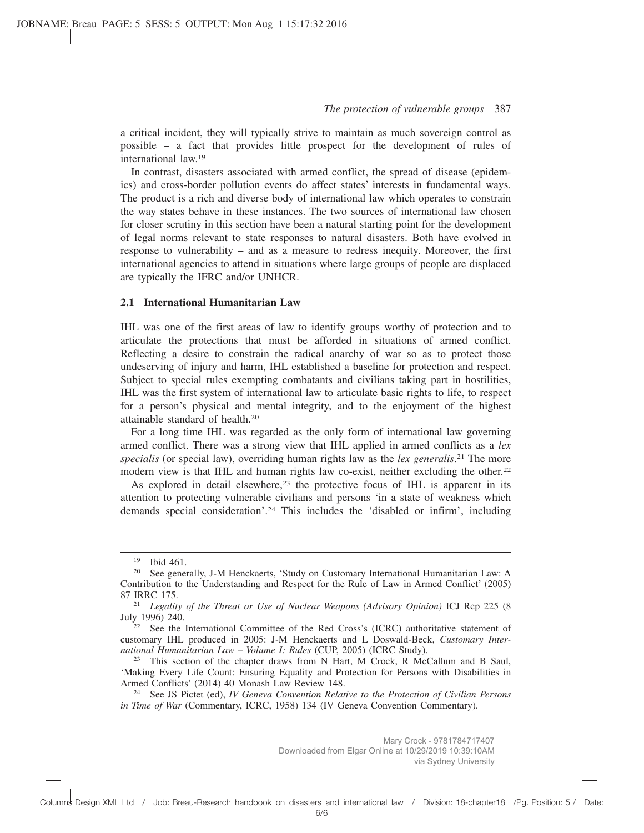a critical incident, they will typically strive to maintain as much sovereign control as possible – a fact that provides little prospect for the development of rules of international law.19

In contrast, disasters associated with armed conflict, the spread of disease (epidemics) and cross-border pollution events do affect states' interests in fundamental ways. The product is a rich and diverse body of international law which operates to constrain the way states behave in these instances. The two sources of international law chosen for closer scrutiny in this section have been a natural starting point for the development of legal norms relevant to state responses to natural disasters. Both have evolved in response to vulnerability – and as a measure to redress inequity. Moreover, the first international agencies to attend in situations where large groups of people are displaced are typically the IFRC and/or UNHCR.

### **2.1 International Humanitarian Law**

IHL was one of the first areas of law to identify groups worthy of protection and to articulate the protections that must be afforded in situations of armed conflict. Reflecting a desire to constrain the radical anarchy of war so as to protect those undeserving of injury and harm, IHL established a baseline for protection and respect. Subject to special rules exempting combatants and civilians taking part in hostilities, IHL was the first system of international law to articulate basic rights to life, to respect for a person's physical and mental integrity, and to the enjoyment of the highest attainable standard of health.20

For a long time IHL was regarded as the only form of international law governing armed conflict. There was a strong view that IHL applied in armed conflicts as a *lex specialis* (or special law), overriding human rights law as the *lex generalis*. <sup>21</sup> The more modern view is that IHL and human rights law co-exist, neither excluding the other.22

As explored in detail elsewhere, $23$  the protective focus of IHL is apparent in its attention to protecting vulnerable civilians and persons 'in a state of weakness which demands special consideration'.24 This includes the 'disabled or infirm', including

 $\frac{19}{20}$  Ibid 461.

See generally, J-M Henckaerts, 'Study on Customary International Humanitarian Law: A Contribution to the Understanding and Respect for the Rule of Law in Armed Conflict' (2005) 87 IRRC 175.

<sup>21</sup> *Legality of the Threat or Use of Nuclear Weapons (Advisory Opinion)* ICJ Rep 225 (8 July 1996) 240.

<sup>&</sup>lt;sup>22</sup> See the International Committee of the Red Cross's (ICRC) authoritative statement of customary IHL produced in 2005: J-M Henckaerts and L Doswald-Beck, *Customary International Humanitarian Law – Volume I: Rules* (CUP, 2005) (ICRC Study).

 $23$  This section of the chapter draws from N Hart, M Crock, R McCallum and B Saul, 'Making Every Life Count: Ensuring Equality and Protection for Persons with Disabilities in Armed Conflicts' (2014) 40 Monash Law Review 148.

<sup>24</sup> See JS Pictet (ed), *IV Geneva Convention Relative to the Protection of Civilian Persons in Time of War* (Commentary, ICRC, 1958) 134 (IV Geneva Convention Commentary).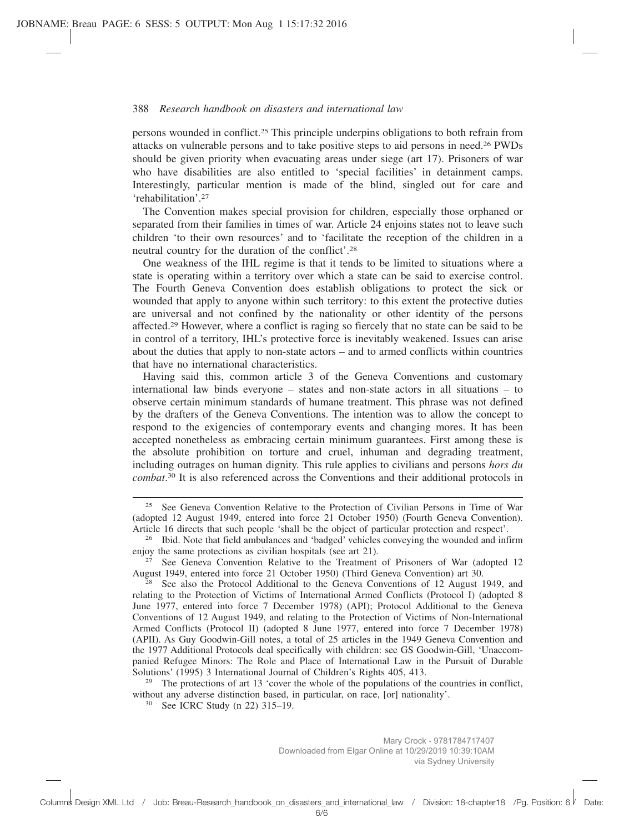persons wounded in conflict.25 This principle underpins obligations to both refrain from attacks on vulnerable persons and to take positive steps to aid persons in need.26 PWDs should be given priority when evacuating areas under siege (art 17). Prisoners of war who have disabilities are also entitled to 'special facilities' in detainment camps. Interestingly, particular mention is made of the blind, singled out for care and 'rehabilitation'.27

The Convention makes special provision for children, especially those orphaned or separated from their families in times of war. Article 24 enjoins states not to leave such children 'to their own resources' and to 'facilitate the reception of the children in a neutral country for the duration of the conflict'.28

One weakness of the IHL regime is that it tends to be limited to situations where a state is operating within a territory over which a state can be said to exercise control. The Fourth Geneva Convention does establish obligations to protect the sick or wounded that apply to anyone within such territory: to this extent the protective duties are universal and not confined by the nationality or other identity of the persons affected.29 However, where a conflict is raging so fiercely that no state can be said to be in control of a territory, IHL's protective force is inevitably weakened. Issues can arise about the duties that apply to non-state actors – and to armed conflicts within countries that have no international characteristics.

Having said this, common article 3 of the Geneva Conventions and customary international law binds everyone – states and non-state actors in all situations – to observe certain minimum standards of humane treatment. This phrase was not defined by the drafters of the Geneva Conventions. The intention was to allow the concept to respond to the exigencies of contemporary events and changing mores. It has been accepted nonetheless as embracing certain minimum guarantees. First among these is the absolute prohibition on torture and cruel, inhuman and degrading treatment, including outrages on human dignity. This rule applies to civilians and persons *hors du combat*. <sup>30</sup> It is also referenced across the Conventions and their additional protocols in

<sup>29</sup> The protections of art 13 'cover the whole of the populations of the countries in conflict, without any adverse distinction based, in particular, on race, [or] nationality'.

<sup>30</sup> See ICRC Study (n 22) 315–19.

<sup>25</sup> See Geneva Convention Relative to the Protection of Civilian Persons in Time of War (adopted 12 August 1949, entered into force 21 October 1950) (Fourth Geneva Convention). Article 16 directs that such people 'shall be the object of particular protection and respect'.

<sup>&</sup>lt;sup>26</sup> Ibid. Note that field ambulances and 'badged' vehicles conveying the wounded and infirm enjoy the same protections as civilian hospitals (see art 21).

 $27$  See Geneva Convention Relative to the Treatment of Prisoners of War (adopted 12 August 1949, entered into force 21 October 1950) (Third Geneva Convention) art 30.

 $28$  See also the Protocol Additional to the Geneva Conventions of 12 August 1949, and relating to the Protection of Victims of International Armed Conflicts (Protocol I) (adopted 8 June 1977, entered into force 7 December 1978) (API); Protocol Additional to the Geneva Conventions of 12 August 1949, and relating to the Protection of Victims of Non-International Armed Conflicts (Protocol II) (adopted 8 June 1977, entered into force 7 December 1978) (APII). As Guy Goodwin-Gill notes, a total of 25 articles in the 1949 Geneva Convention and the 1977 Additional Protocols deal specifically with children: see GS Goodwin-Gill, 'Unaccompanied Refugee Minors: The Role and Place of International Law in the Pursuit of Durable Solutions' (1995) 3 International Journal of Children's Rights 405, 413.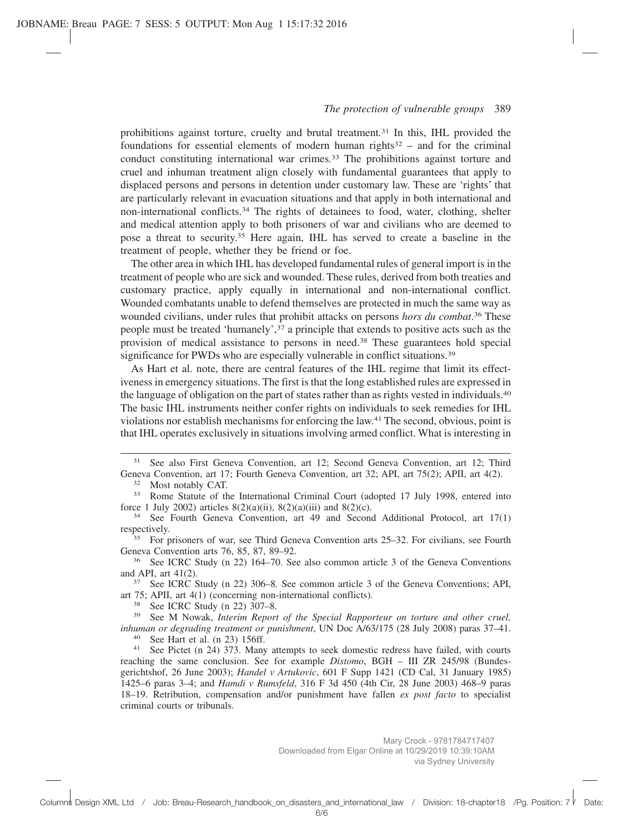prohibitions against torture, cruelty and brutal treatment*.* <sup>31</sup> In this, IHL provided the foundations for essential elements of modern human rights $32$  – and for the criminal conduct constituting international war crimes*.* <sup>33</sup> The prohibitions against torture and cruel and inhuman treatment align closely with fundamental guarantees that apply to displaced persons and persons in detention under customary law. These are 'rights' that are particularly relevant in evacuation situations and that apply in both international and non-international conflicts.34 The rights of detainees to food, water, clothing, shelter and medical attention apply to both prisoners of war and civilians who are deemed to pose a threat to security.35 Here again, IHL has served to create a baseline in the treatment of people, whether they be friend or foe.

The other area in which IHL has developed fundamental rules of general import is in the treatment of people who are sick and wounded. These rules, derived from both treaties and customary practice, apply equally in international and non-international conflict. Wounded combatants unable to defend themselves are protected in much the same way as wounded civilians, under rules that prohibit attacks on persons *hors du combat*. <sup>36</sup> These people must be treated 'humanely',37 a principle that extends to positive acts such as the provision of medical assistance to persons in need.38 These guarantees hold special significance for PWDs who are especially vulnerable in conflict situations.<sup>39</sup>

As Hart et al. note, there are central features of the IHL regime that limit its effectiveness in emergency situations. The first is that the long established rules are expressed in the language of obligation on the part of states rather than as rights vested in individuals.40 The basic IHL instruments neither confer rights on individuals to seek remedies for IHL violations nor establish mechanisms for enforcing the law.41 The second, obvious, point is that IHL operates exclusively in situations involving armed conflict. What is interesting in

- <sup>31</sup> See also First Geneva Convention, art 12; Second Geneva Convention, art 12; Third Geneva Convention, art 17; Fourth Geneva Convention, art 32; API, art 75(2); APII, art 4(2).
	- <sup>32</sup> Most notably CAT.
- <sup>33</sup> Rome Statute of the International Criminal Court (adopted 17 July 1998, entered into force 1 July 2002) articles  $8(2)(a)(ii)$ ,  $8(2)(a)(iii)$  and  $8(2)(c)$ .
- <sup>34</sup> See Fourth Geneva Convention, art 49 and Second Additional Protocol, art 17(1) respectively.

<sup>35</sup> For prisoners of war, see Third Geneva Convention arts 25–32. For civilians, see Fourth Geneva Convention arts 76, 85, 87, 89–92.

<sup>36</sup> See ICRC Study (n 22) 164–70. See also common article 3 of the Geneva Conventions and API, art 41(2).

<sup>37</sup> See ICRC Study (n 22) 306–8*.* See common article 3 of the Geneva Conventions; API, art 75; APII, art 4(1) (concerning non-international conflicts)*.*

 $38$  See ICRC Study (n 22) 307–8.<br> $39$  See M Nowak Interim Report

See M Nowak, *Interim Report of the Special Rapporteur on torture and other cruel*, *inhuman or degrading treatment or punishment*, UN Doc A/63/175 (28 July 2008) paras 37–41. 40 See Hart et al.  $(n 23)$  156ff.<br>41 See Pictot  $(n 24)$  373 Many

See Pictet (n 24) 373. Many attempts to seek domestic redress have failed, with courts reaching the same conclusion. See for example *Distomo*, BGH – III ZR 245/98 (Bundesgerichtshof, 26 June 2003); *Handel v Artukovic*, 601 F Supp 1421 (CD Cal, 31 January 1985) 1425–6 paras 3–4; and *Hamdi v Rumsfeld*, 316 F 3d 450 (4th Cir, 28 June 2003) 468–9 paras 18–19. Retribution, compensation and/or punishment have fallen *ex post facto* to specialist criminal courts or tribunals.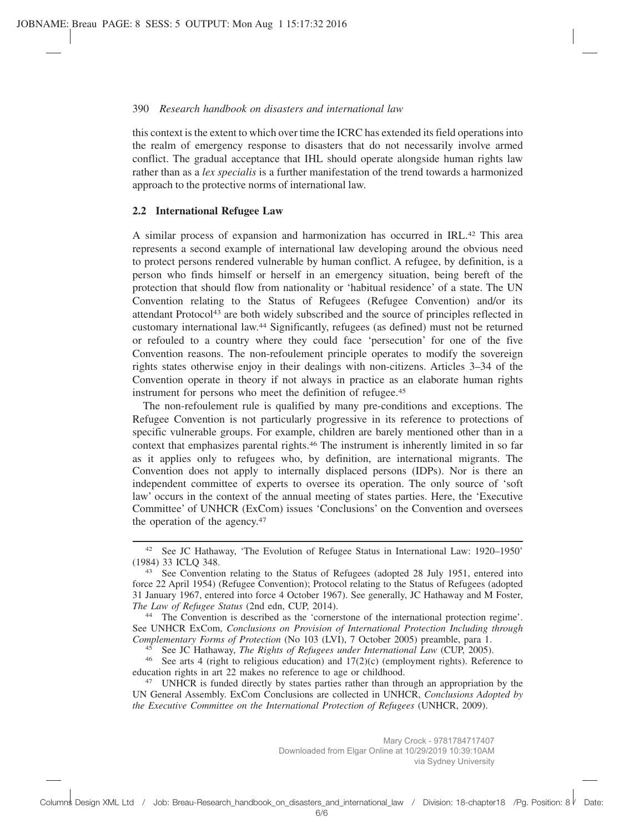this context is the extent to which over time the ICRC has extended its field operations into the realm of emergency response to disasters that do not necessarily involve armed conflict. The gradual acceptance that IHL should operate alongside human rights law rather than as a *lex specialis* is a further manifestation of the trend towards a harmonized approach to the protective norms of international law.

## **2.2 International Refugee Law**

A similar process of expansion and harmonization has occurred in IRL.42 This area represents a second example of international law developing around the obvious need to protect persons rendered vulnerable by human conflict. A refugee, by definition, is a person who finds himself or herself in an emergency situation, being bereft of the protection that should flow from nationality or 'habitual residence' of a state. The UN Convention relating to the Status of Refugees (Refugee Convention) and/or its attendant Protocol43 are both widely subscribed and the source of principles reflected in customary international law.44 Significantly, refugees (as defined) must not be returned or refouled to a country where they could face 'persecution' for one of the five Convention reasons. The non-refoulement principle operates to modify the sovereign rights states otherwise enjoy in their dealings with non-citizens. Articles 3–34 of the Convention operate in theory if not always in practice as an elaborate human rights instrument for persons who meet the definition of refugee.45

The non-refoulement rule is qualified by many pre-conditions and exceptions. The Refugee Convention is not particularly progressive in its reference to protections of specific vulnerable groups. For example, children are barely mentioned other than in a context that emphasizes parental rights.<sup>46</sup> The instrument is inherently limited in so far as it applies only to refugees who, by definition, are international migrants. The Convention does not apply to internally displaced persons (IDPs). Nor is there an independent committee of experts to oversee its operation. The only source of 'soft law' occurs in the context of the annual meeting of states parties. Here, the 'Executive Committee' of UNHCR (ExCom) issues 'Conclusions' on the Convention and oversees the operation of the agency.<sup>47</sup>

<sup>45</sup> See JC Hathaway, *The Rights of Refugees under International Law* (CUP, 2005).

<sup>42</sup> See JC Hathaway, 'The Evolution of Refugee Status in International Law: 1920–1950' (1984) 33 ICLQ 348.

<sup>&</sup>lt;sup>43</sup> See Convention relating to the Status of Refugees (adopted 28 July 1951, entered into force 22 April 1954) (Refugee Convention); Protocol relating to the Status of Refugees (adopted 31 January 1967, entered into force 4 October 1967). See generally, JC Hathaway and M Foster, *The Law of Refugee Status* (2nd edn, CUP, 2014).

<sup>44</sup> The Convention is described as the 'cornerstone of the international protection regime'. See UNHCR ExCom, *Conclusions on Provision of International Protection Including through Complementary Forms of Protection* (No 103 (LVI), 7 October 2005) preamble, para 1.

<sup>46</sup> See arts 4 (right to religious education) and 17(2)(c) (employment rights). Reference to education rights in art 22 makes no reference to age or childhood.

<sup>&</sup>lt;sup>47</sup> UNHCR is funded directly by states parties rather than through an appropriation by the UN General Assembly. ExCom Conclusions are collected in UNHCR, *Conclusions Adopted by the Executive Committee on the International Protection of Refugees* (UNHCR, 2009).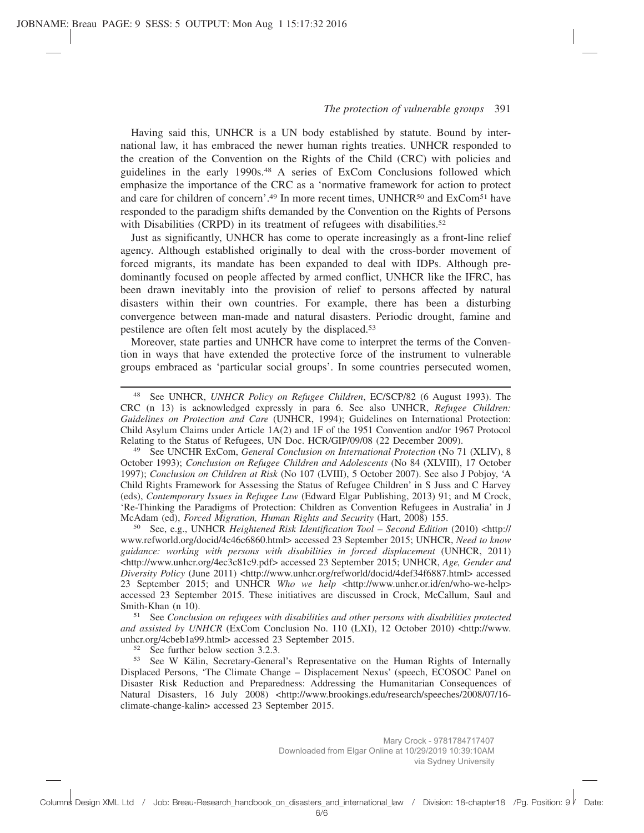Having said this, UNHCR is a UN body established by statute. Bound by international law, it has embraced the newer human rights treaties. UNHCR responded to the creation of the Convention on the Rights of the Child (CRC) with policies and guidelines in the early 1990s.48 A series of ExCom Conclusions followed which emphasize the importance of the CRC as a 'normative framework for action to protect and care for children of concern'.<sup>49</sup> In more recent times, UNHCR<sup>50</sup> and ExCom<sup>51</sup> have responded to the paradigm shifts demanded by the Convention on the Rights of Persons with Disabilities (CRPD) in its treatment of refugees with disabilities.<sup>52</sup>

Just as significantly, UNHCR has come to operate increasingly as a front-line relief agency. Although established originally to deal with the cross-border movement of forced migrants, its mandate has been expanded to deal with IDPs. Although predominantly focused on people affected by armed conflict, UNHCR like the IFRC, has been drawn inevitably into the provision of relief to persons affected by natural disasters within their own countries. For example, there has been a disturbing convergence between man-made and natural disasters. Periodic drought, famine and pestilence are often felt most acutely by the displaced.53

Moreover, state parties and UNHCR have come to interpret the terms of the Convention in ways that have extended the protective force of the instrument to vulnerable groups embraced as 'particular social groups'. In some countries persecuted women,

<sup>49</sup> See UNCHR ExCom, *General Conclusion on International Protection* (No 71 (XLIV), 8 October 1993); *Conclusion on Refugee Children and Adolescents* (No 84 (XLVIII), 17 October 1997); *Conclusion on Children at Risk* (No 107 (LVIII), 5 October 2007). See also J Pobjoy, 'A Child Rights Framework for Assessing the Status of Refugee Children' in S Juss and C Harvey (eds), *Contemporary Issues in Refugee Law* (Edward Elgar Publishing, 2013) 91; and M Crock, 'Re-Thinking the Paradigms of Protection: Children as Convention Refugees in Australia' in J McAdam (ed), *Forced Migration, Human Rights and Security* (Hart, 2008) 155.

<sup>50</sup> See, e.g., UNHCR *Heightened Risk Identification Tool – Second Edition* (2010) <http:// www.refworld.org/docid/4c46c6860.html> accessed 23 September 2015; UNHCR, *Need to know guidance: working with persons with disabilities in forced displacement* (UNHCR, 2011) <http://www.unhcr.org/4ec3c81c9.pdf> accessed 23 September 2015; UNHCR, *Age, Gender and Diversity Policy* (June 2011) <http://www.unhcr.org/refworld/docid/4def34f6887.html> accessed 23 September 2015; and UNHCR *Who we help* <http://www.unhcr.or.id/en/who-we-help> accessed 23 September 2015. These initiatives are discussed in Crock, McCallum, Saul and Smith-Khan (n 10).

<sup>51</sup> See *Conclusion on refugees with disabilities and other persons with disabilities protected* and assisted by UNHCR (ExCom Conclusion No. 110 (LXI), 12 October 2010) <http://www. unhcr.org/4cbeb1a99.html> accessed 23 September 2015.

 $52$  See further below section 3.2.3.<br> $53$  See W Kölin Secretary General

<sup>53</sup> See W Kälin, Secretary-General's Representative on the Human Rights of Internally Displaced Persons, 'The Climate Change – Displacement Nexus' (speech, ECOSOC Panel on Disaster Risk Reduction and Preparedness: Addressing the Humanitarian Consequences of Natural Disasters, 16 July 2008) <http://www.brookings.edu/research/speeches/2008/07/16climate-change-kalin> accessed 23 September 2015.

<sup>48</sup> See UNHCR, *UNHCR Policy on Refugee Children*, EC/SCP/82 (6 August 1993). The CRC (n 13) is acknowledged expressly in para 6. See also UNHCR, *Refugee Children: Guidelines on Protection and Care* (UNHCR, 1994); Guidelines on International Protection: Child Asylum Claims under Article 1A(2) and 1F of the 1951 Convention and/or 1967 Protocol Relating to the Status of Refugees, UN Doc. HCR/GIP/09/08 (22 December 2009).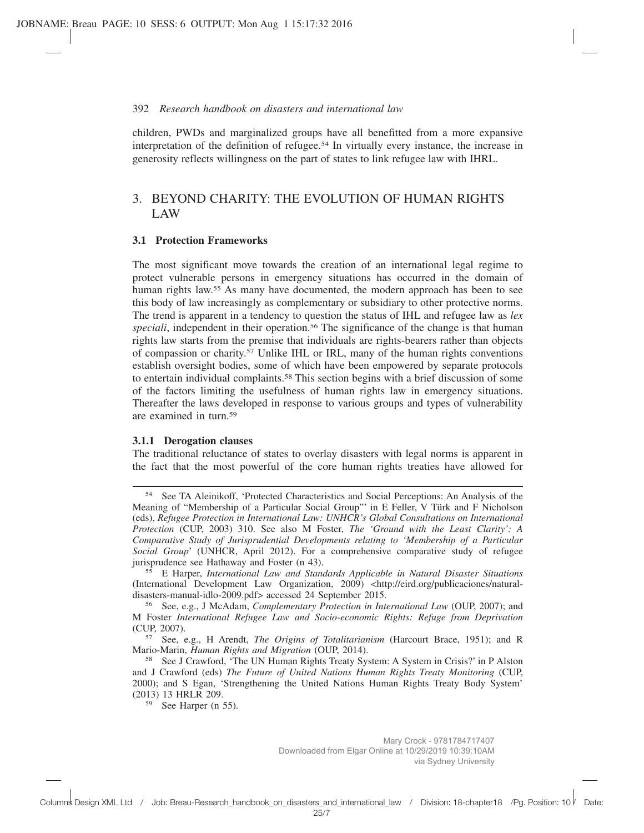## 392 *Research handbook on disasters and international law*

children, PWDs and marginalized groups have all benefitted from a more expansive interpretation of the definition of refugee.54 In virtually every instance, the increase in generosity reflects willingness on the part of states to link refugee law with IHRL.

# 3. BEYOND CHARITY: THE EVOLUTION OF HUMAN RIGHTS LAW

## **3.1 Protection Frameworks**

The most significant move towards the creation of an international legal regime to protect vulnerable persons in emergency situations has occurred in the domain of human rights law.<sup>55</sup> As many have documented, the modern approach has been to see this body of law increasingly as complementary or subsidiary to other protective norms. The trend is apparent in a tendency to question the status of IHL and refugee law as *lex* speciali, independent in their operation.<sup>56</sup> The significance of the change is that human rights law starts from the premise that individuals are rights-bearers rather than objects of compassion or charity.57 Unlike IHL or IRL, many of the human rights conventions establish oversight bodies, some of which have been empowered by separate protocols to entertain individual complaints.58 This section begins with a brief discussion of some of the factors limiting the usefulness of human rights law in emergency situations. Thereafter the laws developed in response to various groups and types of vulnerability are examined in turn.59

#### **3.1.1 Derogation clauses**

The traditional reluctance of states to overlay disasters with legal norms is apparent in the fact that the most powerful of the core human rights treaties have allowed for

<sup>59</sup> See Harper (n 55).

<sup>54</sup> See TA Aleinikoff, 'Protected Characteristics and Social Perceptions: An Analysis of the Meaning of "Membership of a Particular Social Group"' in E Feller, V Türk and F Nicholson (eds), *Refugee Protection in International Law: UNHCR's Global Consultations on International Protection* (CUP, 2003) 310. See also M Foster, *The 'Ground with the Least Clarity': A Comparative Study of Jurisprudential Developments relating to 'Membership of a Particular Social Group*' (UNHCR, April 2012). For a comprehensive comparative study of refugee jurisprudence see Hathaway and Foster (n 43).

<sup>55</sup> E Harper, *International Law and Standards Applicable in Natural Disaster Situations* (International Development Law Organization, 2009) <http://eird.org/publicaciones/naturaldisasters-manual-idlo-2009.pdf> accessed 24 September 2015.

<sup>56</sup> See, e.g., J McAdam, *Complementary Protection in International Law* (OUP, 2007); and M Foster *International Refugee Law and Socio-economic Rights: Refuge from Deprivation* (CUP, 2007).

<sup>57</sup> See, e.g., H Arendt, *The Origins of Totalitarianism* (Harcourt Brace, 1951); and R Mario-Marin, *Human Rights and Migration* (OUP, 2014).

<sup>58</sup> See J Crawford, 'The UN Human Rights Treaty System: A System in Crisis?' in P Alston and J Crawford (eds) *The Future of United Nations Human Rights Treaty Monitoring* (CUP, 2000); and S Egan, 'Strengthening the United Nations Human Rights Treaty Body System' (2013) 13 HRLR 209.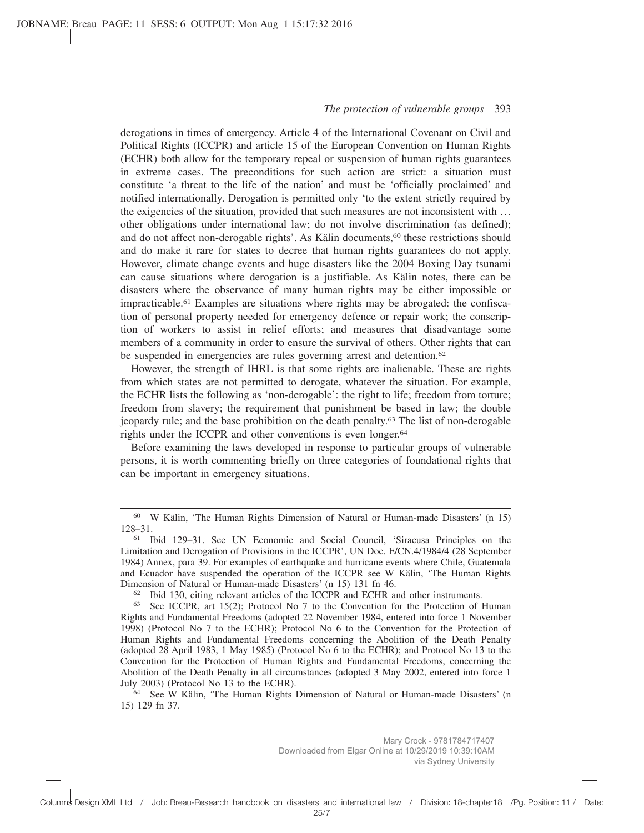derogations in times of emergency. Article 4 of the International Covenant on Civil and Political Rights (ICCPR) and article 15 of the European Convention on Human Rights (ECHR) both allow for the temporary repeal or suspension of human rights guarantees in extreme cases. The preconditions for such action are strict: a situation must constitute 'a threat to the life of the nation' and must be 'officially proclaimed' and notified internationally. Derogation is permitted only 'to the extent strictly required by the exigencies of the situation, provided that such measures are not inconsistent with … other obligations under international law; do not involve discrimination (as defined); and do not affect non-derogable rights'. As Kälin documents,<sup>60</sup> these restrictions should and do make it rare for states to decree that human rights guarantees do not apply. However, climate change events and huge disasters like the 2004 Boxing Day tsunami can cause situations where derogation is a justifiable. As Kälin notes, there can be disasters where the observance of many human rights may be either impossible or impracticable.61 Examples are situations where rights may be abrogated: the confiscation of personal property needed for emergency defence or repair work; the conscription of workers to assist in relief efforts; and measures that disadvantage some members of a community in order to ensure the survival of others. Other rights that can be suspended in emergencies are rules governing arrest and detention.<sup>62</sup>

However, the strength of IHRL is that some rights are inalienable. These are rights from which states are not permitted to derogate, whatever the situation. For example, the ECHR lists the following as 'non-derogable': the right to life; freedom from torture; freedom from slavery; the requirement that punishment be based in law; the double jeopardy rule; and the base prohibition on the death penalty.63 The list of non-derogable rights under the ICCPR and other conventions is even longer.<sup>64</sup>

Before examining the laws developed in response to particular groups of vulnerable persons, it is worth commenting briefly on three categories of foundational rights that can be important in emergency situations.

<sup>62</sup> Ibid 130, citing relevant articles of the ICCPR and ECHR and other instruments.

<sup>64</sup> See W Kälin, 'The Human Rights Dimension of Natural or Human-made Disasters' (n 15) 129 fn 37.

<sup>60</sup> W Kälin, 'The Human Rights Dimension of Natural or Human-made Disasters' (n 15) 128–31.

<sup>61</sup> Ibid 129–31. See UN Economic and Social Council, 'Siracusa Principles on the Limitation and Derogation of Provisions in the ICCPR', UN Doc. E/CN.4/1984/4 (28 September 1984) Annex, para 39. For examples of earthquake and hurricane events where Chile, Guatemala and Ecuador have suspended the operation of the ICCPR see W Kälin, 'The Human Rights Dimension of Natural or Human-made Disasters' (n 15) 131 fn 46.

<sup>63</sup> See ICCPR, art 15(2); Protocol No 7 to the Convention for the Protection of Human Rights and Fundamental Freedoms (adopted 22 November 1984, entered into force 1 November 1998) (Protocol No 7 to the ECHR); Protocol No 6 to the Convention for the Protection of Human Rights and Fundamental Freedoms concerning the Abolition of the Death Penalty (adopted 28 April 1983, 1 May 1985) (Protocol No 6 to the ECHR); and Protocol No 13 to the Convention for the Protection of Human Rights and Fundamental Freedoms, concerning the Abolition of the Death Penalty in all circumstances (adopted 3 May 2002, entered into force 1 July 2003) (Protocol No 13 to the ECHR).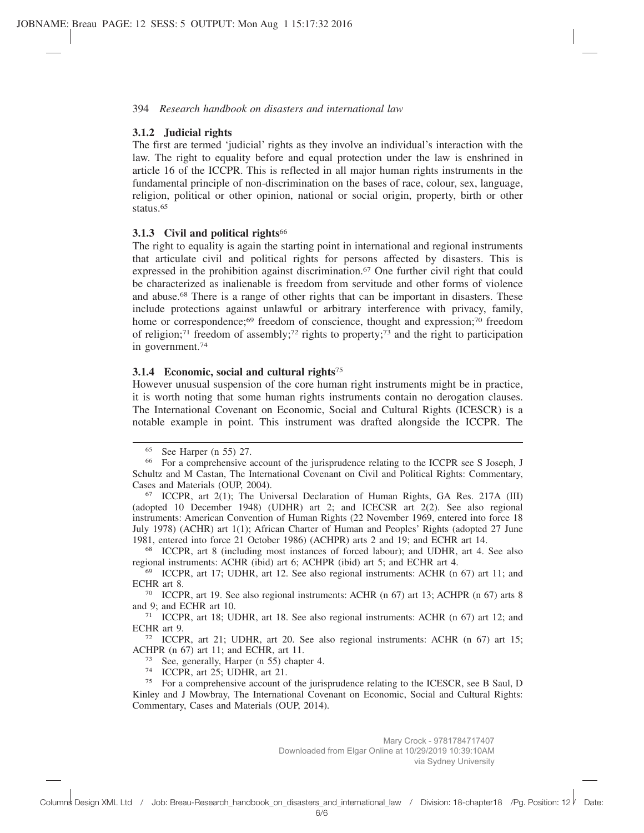## **3.1.2 Judicial rights**

The first are termed 'judicial' rights as they involve an individual's interaction with the law. The right to equality before and equal protection under the law is enshrined in article 16 of the ICCPR. This is reflected in all major human rights instruments in the fundamental principle of non-discrimination on the bases of race, colour, sex, language, religion, political or other opinion, national or social origin, property, birth or other status.65

## **3.1.3 Civil and political rights**<sup>66</sup>

The right to equality is again the starting point in international and regional instruments that articulate civil and political rights for persons affected by disasters. This is expressed in the prohibition against discrimination.67 One further civil right that could be characterized as inalienable is freedom from servitude and other forms of violence and abuse.68 There is a range of other rights that can be important in disasters. These include protections against unlawful or arbitrary interference with privacy, family, home or correspondence;<sup>69</sup> freedom of conscience, thought and expression;<sup>70</sup> freedom of religion;<sup>71</sup> freedom of assembly;<sup>72</sup> rights to property;<sup>73</sup> and the right to participation in government.74

## **3.1.4 Economic, social and cultural rights**<sup>75</sup>

However unusual suspension of the core human right instruments might be in practice, it is worth noting that some human rights instruments contain no derogation clauses. The International Covenant on Economic, Social and Cultural Rights (ICESCR) is a notable example in point. This instrument was drafted alongside the ICCPR. The

<sup>65</sup> See Harper (n 55) 27.

<sup>66</sup> For a comprehensive account of the jurisprudence relating to the ICCPR see S Joseph, J Schultz and M Castan, The International Covenant on Civil and Political Rights: Commentary, Cases and Materials (OUP, 2004).

<sup>67</sup> ICCPR, art 2(1); The Universal Declaration of Human Rights, GA Res. 217A (III) (adopted 10 December 1948) (UDHR) art 2; and ICECSR art 2(2). See also regional instruments: American Convention of Human Rights (22 November 1969, entered into force 18 July 1978) (ACHR) art 1(1); African Charter of Human and Peoples' Rights (adopted 27 June 1981, entered into force 21 October 1986) (ACHPR) arts 2 and 19; and ECHR art 14.

<sup>68</sup> ICCPR, art 8 (including most instances of forced labour); and UDHR, art 4. See also regional instruments: ACHR (ibid) art 6; ACHPR (ibid) art 5; and ECHR art 4.

<sup>69</sup> ICCPR, art 17; UDHR, art 12. See also regional instruments: ACHR (n 67) art 11; and ECHR art 8.

<sup>70</sup> ICCPR, art 19. See also regional instruments: ACHR (n 67) art 13; ACHPR (n 67) arts 8 and 9; and ECHR art 10.

<sup>71</sup> ICCPR, art 18; UDHR, art 18. See also regional instruments: ACHR (n 67) art 12; and ECHR art 9.

<sup>72</sup> ICCPR, art 21; UDHR, art 20. See also regional instruments: ACHR (n 67) art 15; ACHPR (n 67) art 11; and ECHR, art 11.

<sup>73</sup> See, generally, Harper (n 55) chapter 4.

<sup>74</sup> ICCPR, art 25; UDHR, art 21.

<sup>75</sup> For a comprehensive account of the jurisprudence relating to the ICESCR, see B Saul, D Kinley and J Mowbray, The International Covenant on Economic, Social and Cultural Rights: Commentary, Cases and Materials (OUP, 2014).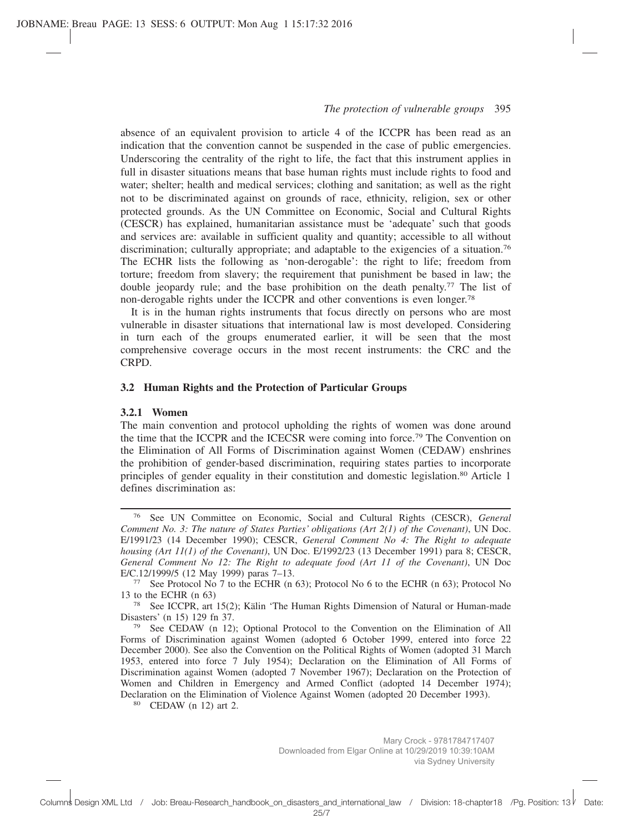absence of an equivalent provision to article 4 of the ICCPR has been read as an indication that the convention cannot be suspended in the case of public emergencies. Underscoring the centrality of the right to life, the fact that this instrument applies in full in disaster situations means that base human rights must include rights to food and water; shelter; health and medical services; clothing and sanitation; as well as the right not to be discriminated against on grounds of race, ethnicity, religion, sex or other protected grounds. As the UN Committee on Economic, Social and Cultural Rights (CESCR) has explained, humanitarian assistance must be 'adequate' such that goods and services are: available in sufficient quality and quantity; accessible to all without discrimination; culturally appropriate; and adaptable to the exigencies of a situation.76 The ECHR lists the following as 'non-derogable': the right to life; freedom from torture; freedom from slavery; the requirement that punishment be based in law; the double jeopardy rule; and the base prohibition on the death penalty.77 The list of non-derogable rights under the ICCPR and other conventions is even longer.78

It is in the human rights instruments that focus directly on persons who are most vulnerable in disaster situations that international law is most developed. Considering in turn each of the groups enumerated earlier, it will be seen that the most comprehensive coverage occurs in the most recent instruments: the CRC and the CRPD.

## **3.2 Human Rights and the Protection of Particular Groups**

#### **3.2.1 Women**

The main convention and protocol upholding the rights of women was done around the time that the ICCPR and the ICECSR were coming into force.79 The Convention on the Elimination of All Forms of Discrimination against Women (CEDAW) enshrines the prohibition of gender-based discrimination, requiring states parties to incorporate principles of gender equality in their constitution and domestic legislation.80 Article 1 defines discrimination as:

<sup>76</sup> See UN Committee on Economic, Social and Cultural Rights (CESCR), *General Comment No. 3: The nature of States Parties' obligations (Art 2(1) of the Covenant)*, UN Doc. E/1991/23 (14 December 1990); CESCR, *General Comment No 4: The Right to adequate housing (Art 11(1) of the Covenant)*, UN Doc. E/1992/23 (13 December 1991) para 8; CESCR, *General Comment No 12: The Right to adequate food (Art 11 of the Covenant)*, UN Doc E/C.12/1999/5 (12 May 1999) paras 7–13.

<sup>77</sup> See Protocol No 7 to the ECHR (n 63); Protocol No 6 to the ECHR (n 63); Protocol No 13 to the ECHR (n 63)

<sup>78</sup> See ICCPR, art 15(2); Kälin 'The Human Rights Dimension of Natural or Human-made Disasters' (n 15) 129 fn 37.<br><sup>79</sup> See CEDAW (n 12)

See CEDAW (n 12); Optional Protocol to the Convention on the Elimination of All Forms of Discrimination against Women (adopted 6 October 1999, entered into force 22 December 2000). See also the Convention on the Political Rights of Women (adopted 31 March 1953, entered into force 7 July 1954); Declaration on the Elimination of All Forms of Discrimination against Women (adopted 7 November 1967); Declaration on the Protection of Women and Children in Emergency and Armed Conflict (adopted 14 December 1974); Declaration on the Elimination of Violence Against Women (adopted 20 December 1993).

<sup>80</sup> CEDAW (n 12) art 2.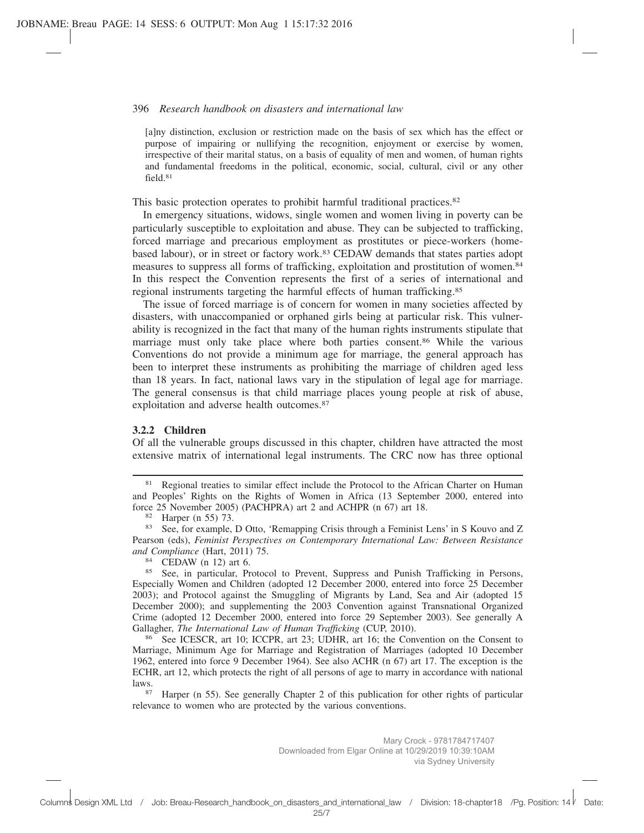#### 396 *Research handbook on disasters and international law*

[a]ny distinction, exclusion or restriction made on the basis of sex which has the effect or purpose of impairing or nullifying the recognition, enjoyment or exercise by women, irrespective of their marital status, on a basis of equality of men and women, of human rights and fundamental freedoms in the political, economic, social, cultural, civil or any other field 81

This basic protection operates to prohibit harmful traditional practices.82

In emergency situations, widows, single women and women living in poverty can be particularly susceptible to exploitation and abuse. They can be subjected to trafficking, forced marriage and precarious employment as prostitutes or piece-workers (homebased labour), or in street or factory work.83 CEDAW demands that states parties adopt measures to suppress all forms of trafficking, exploitation and prostitution of women.84 In this respect the Convention represents the first of a series of international and regional instruments targeting the harmful effects of human trafficking.85

The issue of forced marriage is of concern for women in many societies affected by disasters, with unaccompanied or orphaned girls being at particular risk. This vulnerability is recognized in the fact that many of the human rights instruments stipulate that marriage must only take place where both parties consent.<sup>86</sup> While the various Conventions do not provide a minimum age for marriage, the general approach has been to interpret these instruments as prohibiting the marriage of children aged less than 18 years. In fact, national laws vary in the stipulation of legal age for marriage. The general consensus is that child marriage places young people at risk of abuse, exploitation and adverse health outcomes.<sup>87</sup>

#### **3.2.2 Children**

Of all the vulnerable groups discussed in this chapter, children have attracted the most extensive matrix of international legal instruments. The CRC now has three optional

<sup>81</sup> Regional treaties to similar effect include the Protocol to the African Charter on Human and Peoples' Rights on the Rights of Women in Africa (13 September 2000, entered into force 25 November 2005) (PACHPRA) art 2 and ACHPR (n 67) art 18.

83 See, for example, D Otto, 'Remapping Crisis through a Feminist Lens' in S Kouvo and Z Pearson (eds), *Feminist Perspectives on Contemporary International Law: Between Resistance and Compliance* (Hart, 2011) 75.

<sup>84</sup> CEDAW (n 12) art 6.

<sup>85</sup> See, in particular, Protocol to Prevent, Suppress and Punish Trafficking in Persons, Especially Women and Children (adopted 12 December 2000, entered into force 25 December 2003); and Protocol against the Smuggling of Migrants by Land, Sea and Air (adopted 15 December 2000); and supplementing the 2003 Convention against Transnational Organized Crime (adopted 12 December 2000, entered into force 29 September 2003). See generally A Gallagher, *The International Law of Human Trafficking* (CUP, 2010).<br><sup>86</sup> See ICESCR art 10: ICCPR art 23: UDHR art 16: the Com

<sup>86</sup> See ICESCR, art 10; ICCPR, art 23; UDHR, art 16; the Convention on the Consent to Marriage, Minimum Age for Marriage and Registration of Marriages (adopted 10 December 1962, entered into force 9 December 1964). See also ACHR (n 67) art 17. The exception is the ECHR, art 12, which protects the right of all persons of age to marry in accordance with national laws.

Harper (n 55). See generally Chapter 2 of this publication for other rights of particular relevance to women who are protected by the various conventions.

<sup>82</sup> Harper (n 55) 73.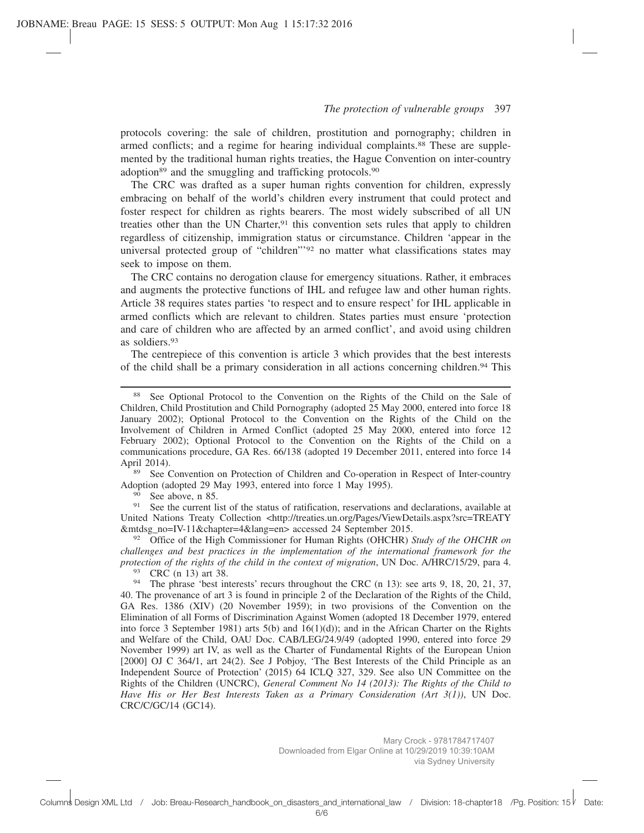protocols covering: the sale of children, prostitution and pornography; children in armed conflicts; and a regime for hearing individual complaints.88 These are supplemented by the traditional human rights treaties, the Hague Convention on inter-country adoption<sup>89</sup> and the smuggling and trafficking protocols.<sup>90</sup>

The CRC was drafted as a super human rights convention for children, expressly embracing on behalf of the world's children every instrument that could protect and foster respect for children as rights bearers. The most widely subscribed of all UN treaties other than the UN Charter.<sup>91</sup> this convention sets rules that apply to children regardless of citizenship, immigration status or circumstance. Children 'appear in the universal protected group of "children"'92 no matter what classifications states may seek to impose on them.

The CRC contains no derogation clause for emergency situations. Rather, it embraces and augments the protective functions of IHL and refugee law and other human rights. Article 38 requires states parties 'to respect and to ensure respect' for IHL applicable in armed conflicts which are relevant to children. States parties must ensure 'protection and care of children who are affected by an armed conflict', and avoid using children as soldiers.93

The centrepiece of this convention is article 3 which provides that the best interests of the child shall be a primary consideration in all actions concerning children.94 This

See Convention on Protection of Children and Co-operation in Respect of Inter-country Adoption (adopted 29 May 1993, entered into force 1 May 1995).

 $^{90}$  See above, n 85.

See the current list of the status of ratification, reservations and declarations, available at United Nations Treaty Collection <http://treaties.un.org/Pages/ViewDetails.aspx?src=TREATY &mtdsg\_no=IV-11&chapter=4&lang=en> accessed 24 September 2015.

<sup>92</sup> Office of the High Commissioner for Human Rights (OHCHR) *Study of the OHCHR on challenges and best practices in the implementation of the international framework for the protection of the rights of the child in the context of migration*, UN Doc. A/HRC/15/29, para 4.

<sup>93</sup> CRC (n 13) art 38.

<sup>88</sup> See Optional Protocol to the Convention on the Rights of the Child on the Sale of Children, Child Prostitution and Child Pornography (adopted 25 May 2000, entered into force 18 January 2002); Optional Protocol to the Convention on the Rights of the Child on the Involvement of Children in Armed Conflict (adopted 25 May 2000, entered into force 12 February 2002); Optional Protocol to the Convention on the Rights of the Child on a communications procedure, GA Res. 66/138 (adopted 19 December 2011, entered into force 14 April 2014).

<sup>&</sup>lt;sup>94</sup> The phrase 'best interests' recurs throughout the CRC (n 13): see arts 9, 18, 20, 21, 37, 40. The provenance of art 3 is found in principle 2 of the Declaration of the Rights of the Child, GA Res. 1386 (XIV) (20 November 1959); in two provisions of the Convention on the Elimination of all Forms of Discrimination Against Women (adopted 18 December 1979, entered into force 3 September 1981) arts  $5(b)$  and  $16(1)(d)$ ; and in the African Charter on the Rights and Welfare of the Child, OAU Doc. CAB/LEG/24.9/49 (adopted 1990, entered into force 29 November 1999) art IV, as well as the Charter of Fundamental Rights of the European Union [2000] OJ C 364/1, art 24(2). See J Pobjoy, 'The Best Interests of the Child Principle as an Independent Source of Protection' (2015) 64 ICLQ 327, 329. See also UN Committee on the Rights of the Children (UNCRC), *General Comment No 14 (2013): The Rights of the Child to Have His or Her Best Interests Taken as a Primary Consideration (Art 3(1))*, UN Doc. CRC/C/GC/14 (GC14).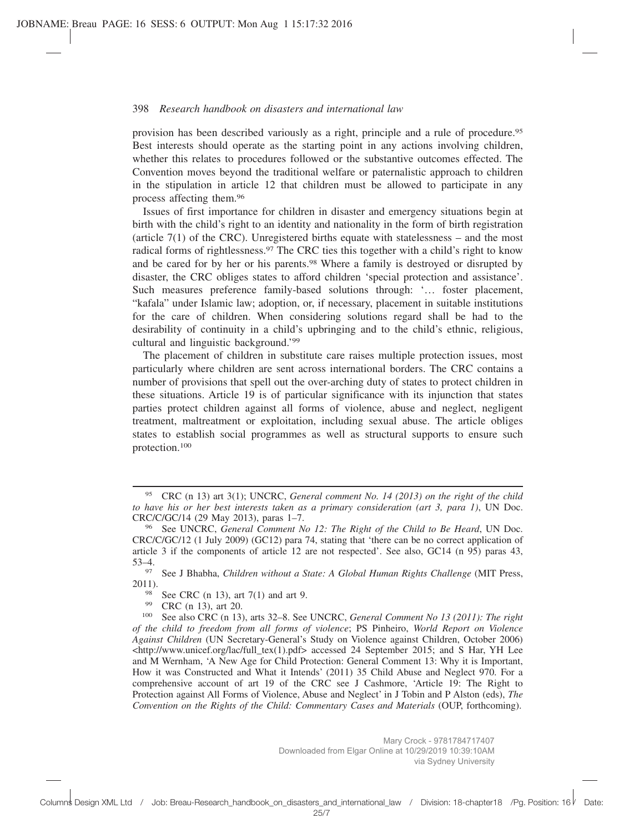provision has been described variously as a right, principle and a rule of procedure.95 Best interests should operate as the starting point in any actions involving children, whether this relates to procedures followed or the substantive outcomes effected. The Convention moves beyond the traditional welfare or paternalistic approach to children in the stipulation in article 12 that children must be allowed to participate in any process affecting them.96

Issues of first importance for children in disaster and emergency situations begin at birth with the child's right to an identity and nationality in the form of birth registration (article  $7(1)$  of the CRC). Unregistered births equate with statelessness – and the most radical forms of rightlessness.97 The CRC ties this together with a child's right to know and be cared for by her or his parents.98 Where a family is destroyed or disrupted by disaster, the CRC obliges states to afford children 'special protection and assistance'. Such measures preference family-based solutions through: '… foster placement, "kafala" under Islamic law; adoption, or, if necessary, placement in suitable institutions for the care of children. When considering solutions regard shall be had to the desirability of continuity in a child's upbringing and to the child's ethnic, religious, cultural and linguistic background.'99

The placement of children in substitute care raises multiple protection issues, most particularly where children are sent across international borders. The CRC contains a number of provisions that spell out the over-arching duty of states to protect children in these situations. Article 19 is of particular significance with its injunction that states parties protect children against all forms of violence, abuse and neglect, negligent treatment, maltreatment or exploitation, including sexual abuse. The article obliges states to establish social programmes as well as structural supports to ensure such protection.100

<sup>95</sup> CRC (n 13) art 3(1); UNCRC, *General comment No. 14 (2013) on the right of the child to have his or her best interests taken as a primary consideration (art 3, para 1)*, UN Doc. CRC/C/GC/14 (29 May 2013), paras 1–7.

<sup>96</sup> See UNCRC, *General Comment No 12: The Right of the Child to Be Heard*, UN Doc. CRC/C/GC/12 (1 July 2009) (GC12) para 74, stating that 'there can be no correct application of article 3 if the components of article 12 are not respected'. See also, GC14 (n 95) paras 43, 53–4.

<sup>97</sup> See J Bhabha, *Children without a State: A Global Human Rights Challenge* (MIT Press, 2011).

<sup>98</sup> See CRC (n 13), art 7(1) and art 9.<br>99 CRC (n 13) art 20

 $^{99}$  CRC (n 13), art 20.<br><sup>100</sup> See also CRC (n 13)

<sup>100</sup> See also CRC (n 13), arts 32–8. See UNCRC, *General Comment No 13 (2011): The right of the child to freedom from all forms of violence*; PS Pinheiro, *World Report on Violence Against Children* (UN Secretary-General's Study on Violence against Children, October 2006)  $\lt$ http://www.unicef.org/lac/full tex(1).pdf> accessed 24 September 2015; and S Har, YH Lee and M Wernham, 'A New Age for Child Protection: General Comment 13: Why it is Important, How it was Constructed and What it Intends' (2011) 35 Child Abuse and Neglect 970. For a comprehensive account of art 19 of the CRC see J Cashmore, 'Article 19: The Right to Protection against All Forms of Violence, Abuse and Neglect' in J Tobin and P Alston (eds), *The Convention on the Rights of the Child: Commentary Cases and Materials* (OUP, forthcoming).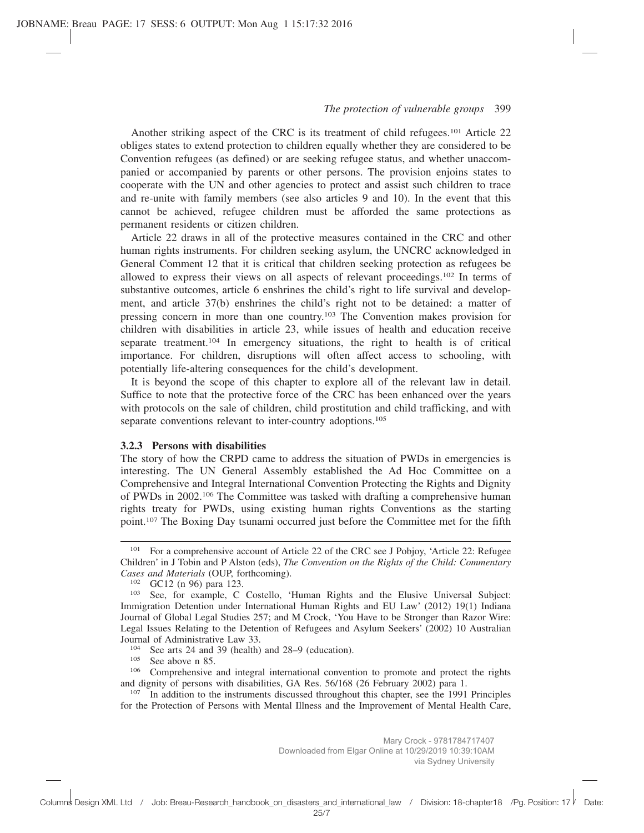Another striking aspect of the CRC is its treatment of child refugees.<sup>101</sup> Article 22 obliges states to extend protection to children equally whether they are considered to be Convention refugees (as defined) or are seeking refugee status, and whether unaccompanied or accompanied by parents or other persons. The provision enjoins states to cooperate with the UN and other agencies to protect and assist such children to trace and re-unite with family members (see also articles 9 and 10). In the event that this cannot be achieved, refugee children must be afforded the same protections as permanent residents or citizen children.

Article 22 draws in all of the protective measures contained in the CRC and other human rights instruments. For children seeking asylum, the UNCRC acknowledged in General Comment 12 that it is critical that children seeking protection as refugees be allowed to express their views on all aspects of relevant proceedings.102 In terms of substantive outcomes, article 6 enshrines the child's right to life survival and development, and article 37(b) enshrines the child's right not to be detained: a matter of pressing concern in more than one country.103 The Convention makes provision for children with disabilities in article 23, while issues of health and education receive separate treatment.104 In emergency situations, the right to health is of critical importance. For children, disruptions will often affect access to schooling, with potentially life-altering consequences for the child's development.

It is beyond the scope of this chapter to explore all of the relevant law in detail. Suffice to note that the protective force of the CRC has been enhanced over the years with protocols on the sale of children, child prostitution and child trafficking, and with separate conventions relevant to inter-country adoptions.<sup>105</sup>

#### **3.2.3 Persons with disabilities**

The story of how the CRPD came to address the situation of PWDs in emergencies is interesting. The UN General Assembly established the Ad Hoc Committee on a Comprehensive and Integral International Convention Protecting the Rights and Dignity of PWDs in 2002.106 The Committee was tasked with drafting a comprehensive human rights treaty for PWDs, using existing human rights Conventions as the starting point.107 The Boxing Day tsunami occurred just before the Committee met for the fifth

<sup>&</sup>lt;sup>101</sup> For a comprehensive account of Article 22 of the CRC see J Pobjoy, 'Article 22: Refugee Children' in J Tobin and P Alston (eds), *The Convention on the Rights of the Child: Commentary Cases and Materials* (OUP, forthcoming).

<sup>102</sup> GC12 (n 96) para 123.

<sup>103</sup> See, for example, C Costello, 'Human Rights and the Elusive Universal Subject: Immigration Detention under International Human Rights and EU Law' (2012) 19(1) Indiana Journal of Global Legal Studies 257; and M Crock, 'You Have to be Stronger than Razor Wire: Legal Issues Relating to the Detention of Refugees and Asylum Seekers' (2002) 10 Australian Journal of Administrative Law 33.

<sup>&</sup>lt;sup>104</sup> See arts 24 and 39 (health) and 28–9 (education).<br> $\frac{105}{2}$  See above n 85

 $^{105}$  See above n 85.<br> $^{106}$  Comprehensive

Comprehensive and integral international convention to promote and protect the rights and dignity of persons with disabilities, GA Res. 56/168 (26 February 2002) para 1.

<sup>&</sup>lt;sup>107</sup> In addition to the instruments discussed throughout this chapter, see the 1991 Principles for the Protection of Persons with Mental Illness and the Improvement of Mental Health Care,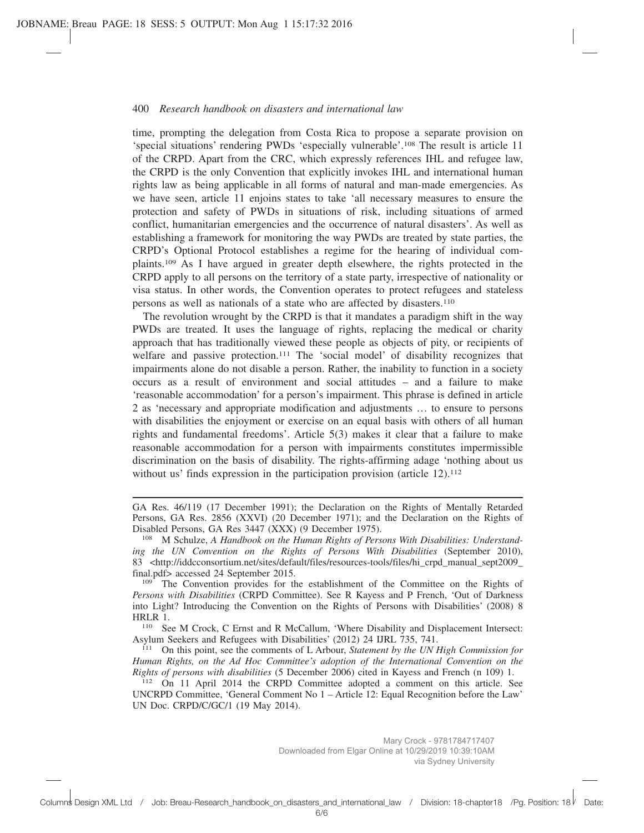time, prompting the delegation from Costa Rica to propose a separate provision on 'special situations' rendering PWDs 'especially vulnerable'.108 The result is article 11 of the CRPD. Apart from the CRC, which expressly references IHL and refugee law, the CRPD is the only Convention that explicitly invokes IHL and international human rights law as being applicable in all forms of natural and man-made emergencies. As we have seen, article 11 enjoins states to take 'all necessary measures to ensure the protection and safety of PWDs in situations of risk, including situations of armed conflict, humanitarian emergencies and the occurrence of natural disasters'. As well as establishing a framework for monitoring the way PWDs are treated by state parties, the CRPD's Optional Protocol establishes a regime for the hearing of individual complaints.109 As I have argued in greater depth elsewhere, the rights protected in the CRPD apply to all persons on the territory of a state party, irrespective of nationality or visa status. In other words, the Convention operates to protect refugees and stateless persons as well as nationals of a state who are affected by disasters.110

The revolution wrought by the CRPD is that it mandates a paradigm shift in the way PWDs are treated. It uses the language of rights, replacing the medical or charity approach that has traditionally viewed these people as objects of pity, or recipients of welfare and passive protection.111 The 'social model' of disability recognizes that impairments alone do not disable a person. Rather, the inability to function in a society occurs as a result of environment and social attitudes – and a failure to make 'reasonable accommodation' for a person's impairment. This phrase is defined in article 2 as 'necessary and appropriate modification and adjustments … to ensure to persons with disabilities the enjoyment or exercise on an equal basis with others of all human rights and fundamental freedoms'. Article 5(3) makes it clear that a failure to make reasonable accommodation for a person with impairments constitutes impermissible discrimination on the basis of disability. The rights-affirming adage 'nothing about us without us' finds expression in the participation provision (article  $12$ ).<sup>112</sup>

<sup>110</sup> See M Crock, C Ernst and R McCallum, 'Where Disability and Displacement Intersect: Asylum Seekers and Refugees with Disabilities' (2012) 24 IJRL 735, 741.

GA Res. 46/119 (17 December 1991); the Declaration on the Rights of Mentally Retarded Persons, GA Res. 2856 (XXVI) (20 December 1971); and the Declaration on the Rights of Disabled Persons, GA Res 3447 (XXX) (9 December 1975).

<sup>108</sup> M Schulze, *A Handbook on the Human Rights of Persons With Disabilities: Understanding the UN Convention on the Rights of Persons With Disabilities* (September 2010), 83 <http://iddcconsortium.net/sites/default/files/resources-tools/files/hi\_crpd\_manual\_sept2009\_ final.pdf> accessed 24 September 2015.

<sup>&</sup>lt;sup>109</sup> The Convention provides for the establishment of the Committee on the Rights of *Persons with Disabilities* (CRPD Committee). See R Kayess and P French, 'Out of Darkness into Light? Introducing the Convention on the Rights of Persons with Disabilities' (2008) 8 HRLR 1.

<sup>111</sup> On this point, see the comments of L Arbour, *Statement by the UN High Commission for Human Rights, on the Ad Hoc Committee's adoption of the International Convention on the Rights of persons with disabilities* (5 December 2006) cited in Kayess and French (n 109) 1.

<sup>&</sup>lt;sup>112</sup> On 11 April 2014 the CRPD Committee adopted a comment on this article. See UNCRPD Committee, 'General Comment No 1 – Article 12: Equal Recognition before the Law' UN Doc. CRPD/C/GC/1 (19 May 2014).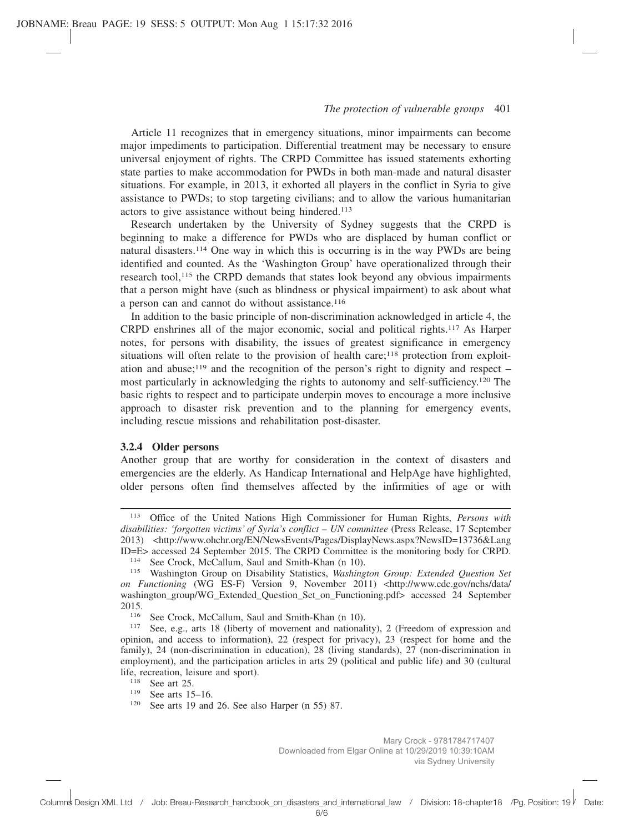Article 11 recognizes that in emergency situations, minor impairments can become major impediments to participation. Differential treatment may be necessary to ensure universal enjoyment of rights. The CRPD Committee has issued statements exhorting state parties to make accommodation for PWDs in both man-made and natural disaster situations. For example, in 2013, it exhorted all players in the conflict in Syria to give assistance to PWDs; to stop targeting civilians; and to allow the various humanitarian actors to give assistance without being hindered.<sup>113</sup>

Research undertaken by the University of Sydney suggests that the CRPD is beginning to make a difference for PWDs who are displaced by human conflict or natural disasters.114 One way in which this is occurring is in the way PWDs are being identified and counted. As the 'Washington Group' have operationalized through their research tool,115 the CRPD demands that states look beyond any obvious impairments that a person might have (such as blindness or physical impairment) to ask about what a person can and cannot do without assistance.116

In addition to the basic principle of non-discrimination acknowledged in article 4, the CRPD enshrines all of the major economic, social and political rights.117 As Harper notes, for persons with disability, the issues of greatest significance in emergency situations will often relate to the provision of health care;<sup>118</sup> protection from exploitation and abuse;<sup>119</sup> and the recognition of the person's right to dignity and respect – most particularly in acknowledging the rights to autonomy and self-sufficiency.120 The basic rights to respect and to participate underpin moves to encourage a more inclusive approach to disaster risk prevention and to the planning for emergency events, including rescue missions and rehabilitation post-disaster.

## **3.2.4 Older persons**

Another group that are worthy for consideration in the context of disasters and emergencies are the elderly. As Handicap International and HelpAge have highlighted, older persons often find themselves affected by the infirmities of age or with

<sup>113</sup> Office of the United Nations High Commissioner for Human Rights, *Persons with disabilities: 'forgotten victims' of Syria's conflict – UN committee* (Press Release, 17 September 2013) <http://www.ohchr.org/EN/NewsEvents/Pages/DisplayNews.aspx?NewsID=13736&Lang ID=E> accessed 24 September 2015. The CRPD Committee is the monitoring body for CRPD.

<sup>&</sup>lt;sup>114</sup> See Crock, McCallum, Saul and Smith-Khan (n 10).

<sup>115</sup> Washington Group on Disability Statistics, *Washington Group: Extended Question Set on Functioning* (WG ES-F) Version 9, November 2011) <http://www.cdc.gov/nchs/data/ washington\_group/WG\_Extended\_Question\_Set\_on\_Functioning.pdf> accessed 24 September  $2015.$ <sub>116</sub>

See Crock, McCallum, Saul and Smith-Khan (n 10).

<sup>117</sup> See, e.g., arts 18 (liberty of movement and nationality), 2 (Freedom of expression and opinion, and access to information), 22 (respect for privacy), 23 (respect for home and the family), 24 (non-discrimination in education), 28 (living standards), 27 (non-discrimination in employment), and the participation articles in arts 29 (political and public life) and 30 (cultural life, recreation, leisure and sport).

<sup>&</sup>lt;sup>118</sup> See art 25.

<sup>119</sup> See arts 15–16.

<sup>120</sup> See arts 19 and 26. See also Harper (n 55) 87.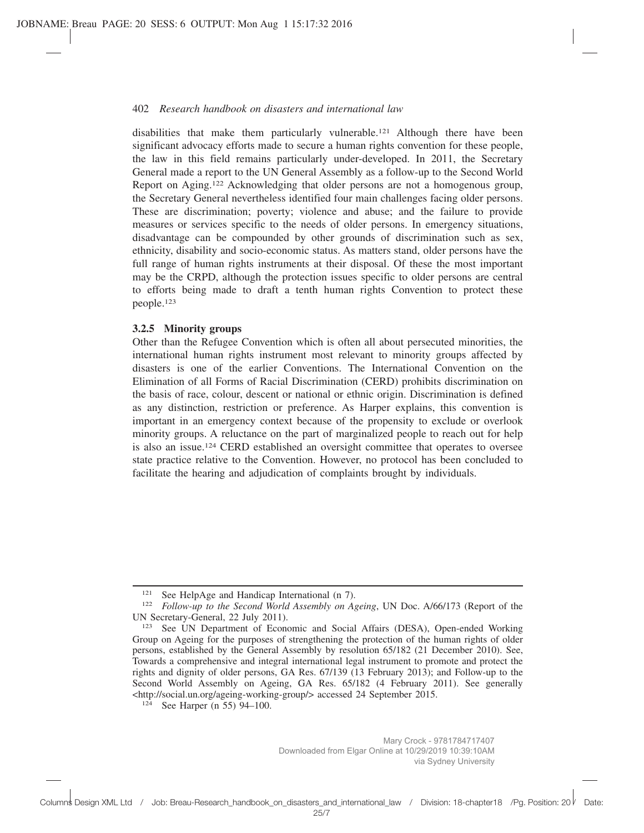disabilities that make them particularly vulnerable.121 Although there have been significant advocacy efforts made to secure a human rights convention for these people, the law in this field remains particularly under-developed. In 2011, the Secretary General made a report to the UN General Assembly as a follow-up to the Second World Report on Aging.122 Acknowledging that older persons are not a homogenous group, the Secretary General nevertheless identified four main challenges facing older persons. These are discrimination; poverty; violence and abuse; and the failure to provide measures or services specific to the needs of older persons. In emergency situations, disadvantage can be compounded by other grounds of discrimination such as sex, ethnicity, disability and socio-economic status. As matters stand, older persons have the full range of human rights instruments at their disposal. Of these the most important may be the CRPD, although the protection issues specific to older persons are central to efforts being made to draft a tenth human rights Convention to protect these people.123

## **3.2.5 Minority groups**

Other than the Refugee Convention which is often all about persecuted minorities, the international human rights instrument most relevant to minority groups affected by disasters is one of the earlier Conventions. The International Convention on the Elimination of all Forms of Racial Discrimination (CERD) prohibits discrimination on the basis of race, colour, descent or national or ethnic origin. Discrimination is defined as any distinction, restriction or preference. As Harper explains, this convention is important in an emergency context because of the propensity to exclude or overlook minority groups. A reluctance on the part of marginalized people to reach out for help is also an issue.124 CERD established an oversight committee that operates to oversee state practice relative to the Convention. However, no protocol has been concluded to facilitate the hearing and adjudication of complaints brought by individuals.

<sup>&</sup>lt;sup>121</sup> See HelpAge and Handicap International (n 7).

<sup>122</sup> *Follow-up to the Second World Assembly on Ageing*, UN Doc. A/66/173 (Report of the UN Secretary-General, 22 July 2011).

<sup>123</sup> See UN Department of Economic and Social Affairs (DESA), Open-ended Working Group on Ageing for the purposes of strengthening the protection of the human rights of older persons, established by the General Assembly by resolution 65/182 (21 December 2010). See, Towards a comprehensive and integral international legal instrument to promote and protect the rights and dignity of older persons, GA Res. 67/139 (13 February 2013); and Follow-up to the Second World Assembly on Ageing, GA Res. 65/182 (4 February 2011). See generally <http://social.un.org/ageing-working-group/> accessed 24 September 2015.

 $124$  See Harper (n 55) 94–100.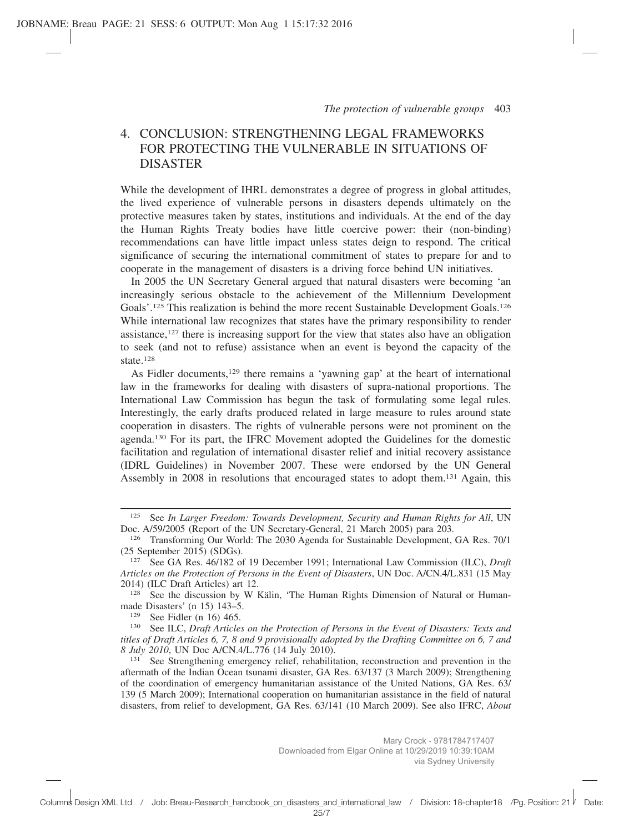# 4. CONCLUSION: STRENGTHENING LEGAL FRAMEWORKS FOR PROTECTING THE VULNERABLE IN SITUATIONS OF DISASTER

While the development of IHRL demonstrates a degree of progress in global attitudes, the lived experience of vulnerable persons in disasters depends ultimately on the protective measures taken by states, institutions and individuals. At the end of the day the Human Rights Treaty bodies have little coercive power: their (non-binding) recommendations can have little impact unless states deign to respond. The critical significance of securing the international commitment of states to prepare for and to cooperate in the management of disasters is a driving force behind UN initiatives.

In 2005 the UN Secretary General argued that natural disasters were becoming 'an increasingly serious obstacle to the achievement of the Millennium Development Goals'.125 This realization is behind the more recent Sustainable Development Goals.126 While international law recognizes that states have the primary responsibility to render assistance,127 there is increasing support for the view that states also have an obligation to seek (and not to refuse) assistance when an event is beyond the capacity of the state.128

As Fidler documents,<sup>129</sup> there remains a 'yawning gap' at the heart of international law in the frameworks for dealing with disasters of supra-national proportions. The International Law Commission has begun the task of formulating some legal rules. Interestingly, the early drafts produced related in large measure to rules around state cooperation in disasters. The rights of vulnerable persons were not prominent on the agenda.130 For its part, the IFRC Movement adopted the Guidelines for the domestic facilitation and regulation of international disaster relief and initial recovery assistance (IDRL Guidelines) in November 2007. These were endorsed by the UN General Assembly in 2008 in resolutions that encouraged states to adopt them.131 Again, this

<sup>129</sup> See Fidler (n 16) 465.

<sup>&</sup>lt;sup>125</sup> See *In Larger Freedom: Towards Development, Security and Human Rights for All*, UN Doc. A/59/2005 (Report of the UN Secretary-General, 21 March 2005) para 203.

<sup>126</sup> Transforming Our World: The 2030 Agenda for Sustainable Development, GA Res. 70/1  $(25$  September 2015) (SDGs).<br> $^{127}$  See GA Res. 46/182 of

<sup>127</sup> See GA Res. 46/182 of 19 December 1991; International Law Commission (ILC), *Draft Articles on the Protection of Persons in the Event of Disasters*, UN Doc. A/CN.4/L.831 (15 May 2014) (ILC Draft Articles) art 12.

<sup>&</sup>lt;sup>128</sup> See the discussion by W Kälin, 'The Human Rights Dimension of Natural or Humanmade Disasters' (n 15) 143–5.

<sup>130</sup> See ILC, *Draft Articles on the Protection of Persons in the Event of Disasters: Texts and titles of Draft Articles 6, 7, 8 and 9 provisionally adopted by the Drafting Committee on 6, 7 and 8 July 2010*, UN Doc A/CN.4/L.776 (14 July 2010).

<sup>131</sup> See Strengthening emergency relief, rehabilitation, reconstruction and prevention in the aftermath of the Indian Ocean tsunami disaster, GA Res. 63/137 (3 March 2009); Strengthening of the coordination of emergency humanitarian assistance of the United Nations, GA Res. 63/ 139 (5 March 2009); International cooperation on humanitarian assistance in the field of natural disasters, from relief to development, GA Res. 63/141 (10 March 2009). See also IFRC, *About*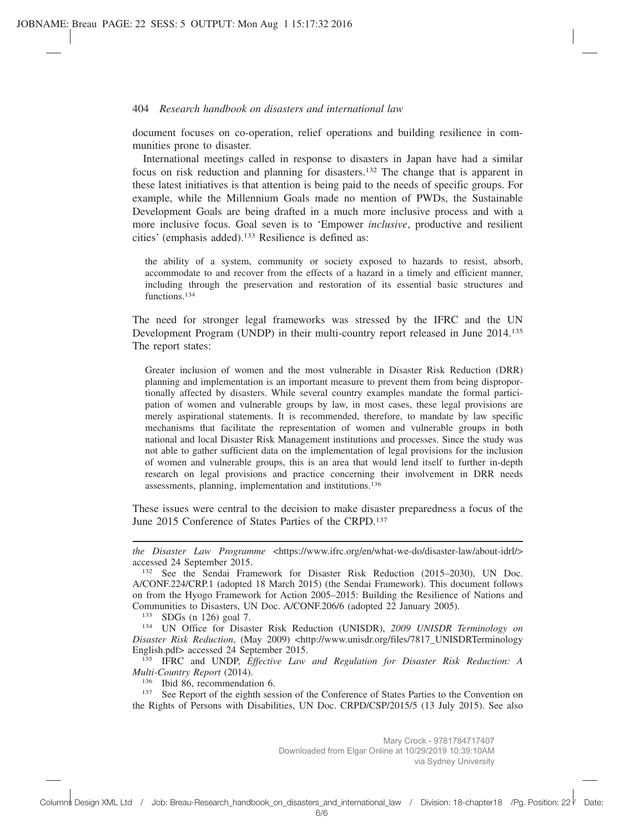document focuses on co-operation, relief operations and building resilience in communities prone to disaster.

International meetings called in response to disasters in Japan have had a similar focus on risk reduction and planning for disasters.132 The change that is apparent in these latest initiatives is that attention is being paid to the needs of specific groups. For example, while the Millennium Goals made no mention of PWDs, the Sustainable Development Goals are being drafted in a much more inclusive process and with a more inclusive focus. Goal seven is to 'Empower *inclusive*, productive and resilient cities' (emphasis added).133 Resilience is defined as:

the ability of a system, community or society exposed to hazards to resist, absorb, accommodate to and recover from the effects of a hazard in a timely and efficient manner, including through the preservation and restoration of its essential basic structures and functions.<sup>134</sup>

The need for stronger legal frameworks was stressed by the IFRC and the UN Development Program (UNDP) in their multi-country report released in June 2014.135 The report states:

Greater inclusion of women and the most vulnerable in Disaster Risk Reduction (DRR) planning and implementation is an important measure to prevent them from being disproportionally affected by disasters. While several country examples mandate the formal participation of women and vulnerable groups by law, in most cases, these legal provisions are merely aspirational statements. It is recommended, therefore, to mandate by law specific mechanisms that facilitate the representation of women and vulnerable groups in both national and local Disaster Risk Management institutions and processes. Since the study was not able to gather sufficient data on the implementation of legal provisions for the inclusion of women and vulnerable groups, this is an area that would lend itself to further in-depth research on legal provisions and practice concerning their involvement in DRR needs assessments, planning, implementation and institutions.136

These issues were central to the decision to make disaster preparedness a focus of the June 2015 Conference of States Parties of the CRPD.137

<sup>133</sup> SDGs (n 126) goal 7.

<sup>136</sup> Ibid 86, recommendation 6.<br><sup>137</sup> See Report of the eighth sesse

See Report of the eighth session of the Conference of States Parties to the Convention on the Rights of Persons with Disabilities, UN Doc. CRPD/CSP/2015/5 (13 July 2015). See also

*the Disaster Law Programme <https://www.ifrc.org/en/what-we-do/disaster-law/about-idrl/>* accessed 24 September 2015.

<sup>132</sup> See the Sendai Framework for Disaster Risk Reduction (2015–2030), UN Doc. A/CONF.224/CRP.1 (adopted 18 March 2015) (the Sendai Framework). This document follows on from the Hyogo Framework for Action 2005–2015: Building the Resilience of Nations and Communities to Disasters, UN Doc. A/CONF.206/6 (adopted 22 January 2005).

<sup>134</sup> UN Office for Disaster Risk Reduction (UNISDR), *2009 UNISDR Terminology on Disaster Risk Reduction*, (May 2009) <http://www.unisdr.org/files/7817 UNISDRTerminology English.pdf> accessed 24 September 2015.

<sup>135</sup> IFRC and UNDP, *Effective Law and Regulation for Disaster Risk Reduction: A Multi-Country Report* (2014).